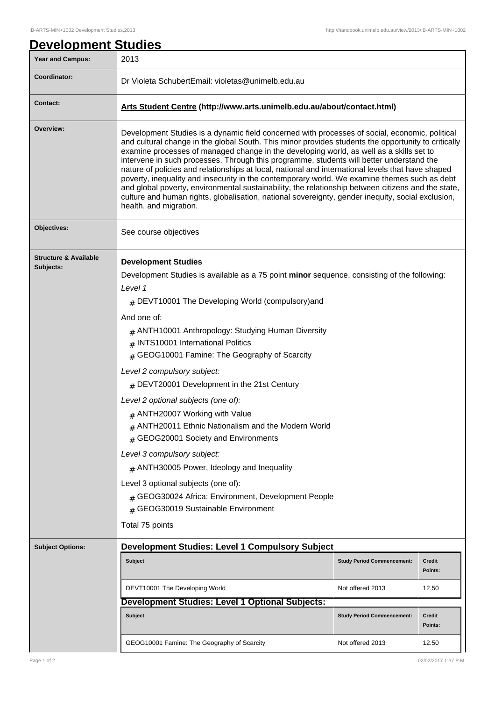| <b>Year and Campus:</b>                       | 2013                                                                                                                                                                                                                                                                                                                                                                                                                                                                                                                                                                                                                                                                                                                                                                                                                                                         |                                   |                          |  |
|-----------------------------------------------|--------------------------------------------------------------------------------------------------------------------------------------------------------------------------------------------------------------------------------------------------------------------------------------------------------------------------------------------------------------------------------------------------------------------------------------------------------------------------------------------------------------------------------------------------------------------------------------------------------------------------------------------------------------------------------------------------------------------------------------------------------------------------------------------------------------------------------------------------------------|-----------------------------------|--------------------------|--|
| Coordinator:                                  | Dr Violeta SchubertEmail: violetas@unimelb.edu.au                                                                                                                                                                                                                                                                                                                                                                                                                                                                                                                                                                                                                                                                                                                                                                                                            |                                   |                          |  |
| <b>Contact:</b>                               | Arts Student Centre (http://www.arts.unimelb.edu.au/about/contact.html)                                                                                                                                                                                                                                                                                                                                                                                                                                                                                                                                                                                                                                                                                                                                                                                      |                                   |                          |  |
| Overview:                                     | Development Studies is a dynamic field concerned with processes of social, economic, political<br>and cultural change in the global South. This minor provides students the opportunity to critically<br>examine processes of managed change in the developing world, as well as a skills set to<br>intervene in such processes. Through this programme, students will better understand the<br>nature of policies and relationships at local, national and international levels that have shaped<br>poverty, inequality and insecurity in the contemporary world. We examine themes such as debt<br>and global poverty, environmental sustainability, the relationship between citizens and the state,<br>culture and human rights, globalisation, national sovereignty, gender inequity, social exclusion,<br>health, and migration.                       |                                   |                          |  |
| Objectives:                                   | See course objectives                                                                                                                                                                                                                                                                                                                                                                                                                                                                                                                                                                                                                                                                                                                                                                                                                                        |                                   |                          |  |
| <b>Structure &amp; Available</b><br>Subjects: | <b>Development Studies</b><br>Development Studies is available as a 75 point minor sequence, consisting of the following:<br>Level 1<br>$#$ DEVT10001 The Developing World (compulsory) and<br>And one of:<br>$#$ ANTH10001 Anthropology: Studying Human Diversity<br># INTS10001 International Politics<br>$#$ GEOG10001 Famine: The Geography of Scarcity<br>Level 2 compulsory subject:<br>$#$ DEVT20001 Development in the 21st Century<br>Level 2 optional subjects (one of):<br>ANTH20007 Working with Value<br>ANTH20011 Ethnic Nationalism and the Modern World<br>GEOG20001 Society and Environments<br>#<br>Level 3 compulsory subject:<br>$#$ ANTH30005 Power, Ideology and Inequality<br>Level 3 optional subjects (one of):<br># GEOG30024 Africa: Environment, Development People<br>GEOG30019 Sustainable Environment<br>#<br>Total 75 points |                                   |                          |  |
| <b>Subject Options:</b>                       | <b>Development Studies: Level 1 Compulsory Subject</b>                                                                                                                                                                                                                                                                                                                                                                                                                                                                                                                                                                                                                                                                                                                                                                                                       |                                   |                          |  |
|                                               | <b>Subject</b>                                                                                                                                                                                                                                                                                                                                                                                                                                                                                                                                                                                                                                                                                                                                                                                                                                               | <b>Study Period Commencement:</b> | <b>Credit</b><br>Points: |  |
|                                               | DEVT10001 The Developing World                                                                                                                                                                                                                                                                                                                                                                                                                                                                                                                                                                                                                                                                                                                                                                                                                               | Not offered 2013                  | 12.50                    |  |
|                                               | Development Studies: Level 1 Optional Subjects:                                                                                                                                                                                                                                                                                                                                                                                                                                                                                                                                                                                                                                                                                                                                                                                                              |                                   |                          |  |
|                                               | <b>Subject</b>                                                                                                                                                                                                                                                                                                                                                                                                                                                                                                                                                                                                                                                                                                                                                                                                                                               | <b>Study Period Commencement:</b> | <b>Credit</b><br>Points: |  |
|                                               | GEOG10001 Famine: The Geography of Scarcity                                                                                                                                                                                                                                                                                                                                                                                                                                                                                                                                                                                                                                                                                                                                                                                                                  | Not offered 2013                  | 12.50                    |  |